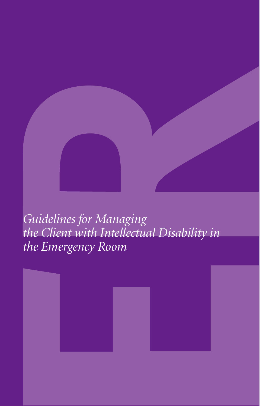*Guidelines for Managing the Client with Intellectual Disability in the Emergency Room*

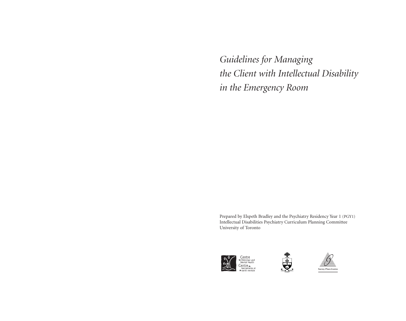*Guidelines for Managing the Client with Intellectual Disability in the Emergency Room*

Prepared by Elspeth Bradley and the Psychiatry Residency Year 1 (PGY1) Intellectual Disabilities Psychiatry Curriculum Planning Committee University of Toronto





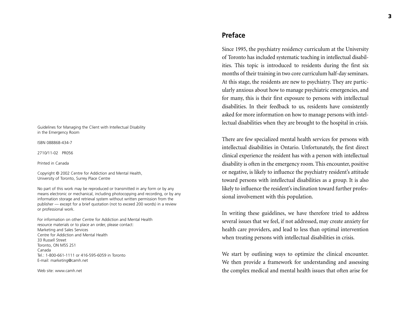Guidelines for Managing the Client with Intellectual Disability in the Emergency Room

ISBN 088868-434-7

2710/11-02 PR056

Printed in Canada

Copyright © 2002 Centre for Addiction and Mental Health, University of Toronto, Surrey Place Centre

No part of this work may be reproduced or transmitted in any form or by any means electronic or mechanical, including photocopying and recording, or by any information storage and retrieval system without written permission from the publisher — except for a brief quotation (not to exceed 200 words) in a review or professional work.

For information on other Centre for Addiction and Mental Health resource materials or to place an order, please contact: Marketing and Sales Services Centre for Addiction and Mental Health33 Russell StreetToronto, ON M5S 2S1 CanadaTel.: 1-800-661-1111 or 416-595-6059 in Toronto E-mail: marketing@camh.net

Web site: www.camh.net

# **Preface**

Since 1995, the psychiatry residency curriculum at the University of Toronto has included systematic teaching in intellectual disabilities. This topic is introduced to residents during the first six months of their training in two core curriculum half-day seminars. At this stage, the residents are new to psychiatry. They are particularly anxious about how to manage psychiatric emergencies, and for many, this is their first exposure to persons with intellectual disabilities. In their feedback to us, residents have consistently asked for more information on how to manage persons with intellectual disabilities when they are brought to the hospital in crisis.

There are few specialized mental health services for persons with intellectual disabilities in Ontario. Unfortunately, the first direct clinical experience the resident has with a person with intellectual disability is often in the emergency room. This encounter, positive or negative, is likely to influence the psychiatry resident's attitude toward persons with intellectual disabilities as a group. It is also likely to influence the resident's inclination toward further professional involvement with this population.

In writing these guidelines, we have therefore tried to address several issues that we feel, if not addressed, may create anxiety for health care providers, and lead to less than optimal intervention when treating persons with intellectual disabilities in crisis.

We start by outlining ways to optimize the clinical encounter. We then provide a framework for understanding and assessing the complex medical and mental health issues that often arise for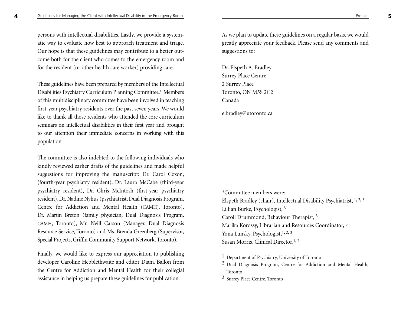persons with intellectual disabilities. Lastly, we provide a systematic way to evaluate how best to approach treatment and triage. Our hope is that these guidelines may contribute to a better outcome both for the client who comes to the emergency room and for the resident (or other health care worker) providing care.

These guidelines have been prepared by members of the Intellectual Disabilities Psychiatry Curriculum Planning Committee.\* Members of this multidisciplinary committee have been involved in teaching first-year psychiatry residents over the past seven years. We would like to thank all those residents who attended the core curriculumseminars on intellectual disabilities in their first year and brought to our attention their immediate concerns in working with this population.

The committee is also indebted to the following individuals who kindly reviewed earlier drafts of the guidelines and made helpful suggestions for improving the manuscript: Dr. Carol Coxon, (fourth-year psychiatry resident), Dr. Laura McCabe (third-year psychiatry resident), Dr. Chris McIntosh (first-year psychiatry resident), Dr. Nadine Nyhus (psychiatrist, Dual Diagnosis Program, Centre for Addiction and Mental Health (CAMH), Toronto), Dr. Martin Breton (family physician, Dual Diagnosis Program, CAMH, Toronto), Mr. Neill Carson (Manager, Dual Diagnosis Resource Service, Toronto) and Ms. Brenda Greenberg (Supervisor, Special Projects, Griffin Community Support Network, Toronto).

Finally, we would like to express our appreciation to publishing developer Caroline Hebblethwaite and editor Diana Ballon from the Centre for Addiction and Mental Health for their collegial assistance in helping us prepare these guidelines for publication.

As we plan to update these guidelines on a regular basis, we would greatly appreciate your feedback. Please send any comments and suggestions to:

Dr. Elspeth A. Bradley Surrey Place Centre 2 Surrey Place Toronto, ON M5S 2C2 Canada

e.bradley@utoronto.ca

\*Committee members were:Elspeth Bradley (chair), Intellectual Disability Psychiatrist, 1, 2, <sup>3</sup> Lillian Burke, Psychologist, <sup>3</sup> Caroll Drummond, Behaviour Therapist, <sup>3</sup> Marika Korossy, Librarian and Resources Coordinator, <sup>3</sup> Yona Lunsky, Psychologist, <sup>1, 2, 3</sup> Susan Morris, Clinical Director, 1, 2

<sup>&</sup>lt;sup>1</sup> Department of Psychiatry, University of Toronto

 $2$  Dual Diagnosis Program, Centre for Addiction and Mental Health, Toronto

<sup>3</sup> Surrey Place Centre, Toronto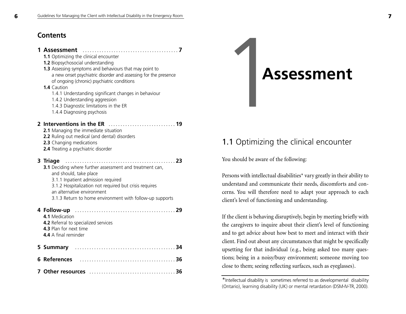# **Contents**

#### **1 Assessment ........................................ 7**

**1.1** Optimizing the clinical encounter **1.2** Biopsychosocial understanding **1.3** Assessing symptoms and behaviours that may point to

a new onset psychiatric disorder and assessing for the presence of ongoing (chronic) psychiatric conditions

#### **1.4** Caution

1.4.1 Understanding significant changes in behaviour

- 1.4.2 Understanding aggression
- 1.4.3 Diagnostic limitations in the ER
- 1.4.4 Diagnosing psychosis

### **2 Interventions in the ER ............................ 19**

- **2.1** Managing the immediate situation
- **2.2** Ruling out medical (and dental) disorders
- **2.3** Changing medications
- **2.4** Treating a psychiatric disorder

#### **3 Triage .............................................. 23 3.1** Deciding where further assessment and treatment can,

and should, take place 3.1.1 Inpatient admission required 3.1.2 Hospitalization not required but crisis requires an alternative environment3.1.3 Return to home environment with follow-up supports

| 4.1 Medication<br>4.2 Referral to specialized services<br>4.3 Plan for next time<br><b>4.4</b> A final reminder |  |
|-----------------------------------------------------------------------------------------------------------------|--|
|                                                                                                                 |  |
|                                                                                                                 |  |
|                                                                                                                 |  |

# 1**Assessment**

# 1.1 Optimizing the clinical encounter

You should be aware of the following:

Persons with intellectual disabilities\* vary greatly in their ability to understand and communicate their needs, discomforts and concerns. You will therefore need to adapt your approach to each client's level of functioning and understanding.

If the client is behaving disruptively, begin by meeting briefly with the caregivers to inquire about their client's level of functioning and to get advice about how best to meet and interact with their client. Find out about any circumstances that might be specifically upsetting for that individual (e.g., being asked too many questions; being in a noisy/busy environment; someone moving too close to them; seeing reflecting surfaces, such as eyeglasses).

\*Intellectual disability is sometimes referred to as developmental disability (Ontario), learning disability (UK) or mental retardation (DSM-IV-TR, 2000).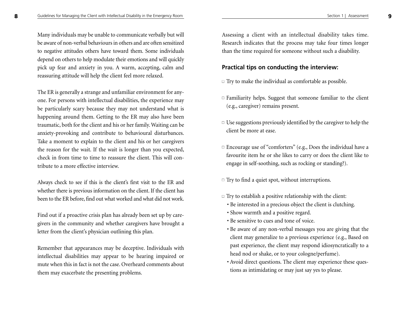Many individuals may be unable to communicate verbally but will be aware of non-verbal behaviours in others and are often sensitizedto negative attitudes others have toward them. Some individuals depend on others to help modulate their emotions and will quickly pick up fear and anxiety in you. A warm, accepting, calm and reassuring attitude will help the client feel more relaxed.

The ER is generally a strange and unfamiliar environment for anyone. For persons with intellectual disabilities, the experience may be particularly scary because they may not understand what is happening around them. Getting to the ER may also have been traumatic, both for the client and his or her family. Waiting can be anxiety-provoking and contribute to behavioural disturbances. Take a moment to explain to the client and his or her caregivers the reason for the wait. If the wait is longer than you expected, check in from time to time to reassure the client. This will contribute to a more effective interview.

Always check to see if this is the client's first visit to the ER and whether there is previous information on the client. If the client has been to the ER before, find out what worked and what did not work.

Find out if a proactive crisis plan has already been set up by caregivers in the community and whether caregivers have brought a letter from the client's physician outlining this plan.

Remember that appearances may be deceptive. Individuals with intellectual disabilities may appear to be hearing impaired or mute when this in fact is not the case. Overheard comments about them may exacerbate the presenting problems.

Assessing a client with an intellectual disability takes time. Research indicates that the process may take four times longer than the time required for someone without such a disability.

## **Practical tips on conducting the interview:**

- $\Box$  Try to make the individual as comfortable as possible.
- $\Box$  Familiarity helps. Suggest that someone familiar to the client (e.g., caregiver) remains present.
- $\Box$  Use suggestions previously identified by the caregiver to help the client be more at ease.
- $\Box$  Encourage use of "comforters" (e.g., Does the individual have a favourite item he or she likes to carry or does the client like to engage in self-soothing, such as rocking or standing?).
- $\Box$  Try to find a quiet spot, without interruptions.
- $\Box$  Try to establish a positive relationship with the client:
	- Be interested in a precious object the client is clutching.
	- Show warmth and a positive regard.
	- Be sensitive to cues and tone of voice.
	- Be aware of any non-verbal messages you are giving that the client may generalize to a previous experience (e.g., Based on past experience, the client may respond idiosyncratically to a head nod or shake, or to your cologne/perfume).
	- Avoid direct questions. The client may experience these questions as intimidating or may just say yes to please.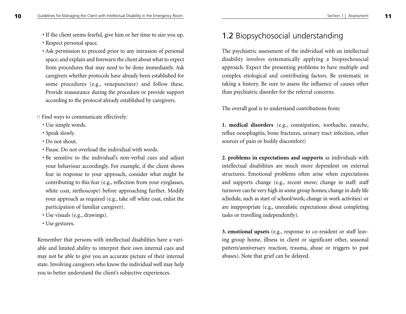- If the client seems fearful, give him or her time to size you up. • Respect personal space.
- Ask permission to proceed prior to any intrusion of personal space, and explain and forewarn the client about what to expect from procedures that may need to be done immediately. Ask caregivers whether protocols have already been established for some procedures (e.g., venepuncture) and follow these. Provide reassurance during the procedure or provide support according to the protocol already established by caregivers.
- $\Box$  Find ways to communicate effectively:
	- Use simple words.
	- Speak slowly.
	- Do not shout.
	- Pause. Do not overload the individual with words.
	- Be sensitive to the individual's non-verbal cues and adjust your behaviour accordingly. For example, if the client shows fear in response to your approach, consider what might be contributing to this fear (e.g., reflection from your eyeglasses, white coat, stethoscope) before approaching further. Modify your approach as required (e.g., take off white coat, enlist the participation of familiar caregiver).
	- Use visuals (e.g., drawings).
	- Use gestures.

Remember that persons with intellectual disabilities have a variable and limited ability to interpret their own internal cues and may not be able to give you an accurate picture of their internal state. Involving caregivers who know the individual well may help you to better understand the client's subjective experiences.

# 1.2 Biopsychosocial understanding

The psychiatric assessment of the individual with an intellectual disability involves systematically applying a biopsychosocial approach. Expect the presenting problems to have multiple and complex etiological and contributing factors. Be systematic in taking a history. Be sure to assess the influence of causes other than psychiatric disorder for the referral concerns.

The overall goal is to understand contributions from:

**1. medical disorders** (e.g., constipation, toothache, earache, reflux oesophagitis, bone fractures, urinary tract infection, other sources of pain or bodily discomfort)

**2. problems in expectations and supports** as individuals with intellectual disabilities are much more dependent on external structures. Emotional problems often arise when expectations and supports change (e.g., recent move; change in staff: staff turnover can be very high in some group homes; change in daily life schedule, such as start of school/work; change in work activities) or are inappropriate (e.g., unrealistic expectations about completing tasks or travelling independently).

**3. emotional upsets** (e.g., response to co-resident or staff leaving group home, illness in client or significant other, seasonal pattern/anniversary reaction, trauma, abuse or triggers to past abuses). Note that grief can be delayed.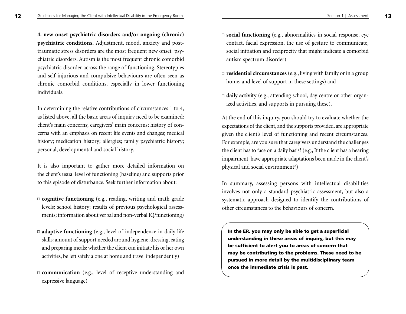**4. new onset psychiatric disorders and/or ongoing (chronic) psychiatric conditions.** Adjustment, mood, anxiety and posttraumatic stress disorders are the most frequent new onset psychiatric disorders. Autism is the most frequent chronic comorbid psychiatric disorder across the range of functioning. Stereotypies and self-injurious and compulsive behaviours are often seen as chronic comorbid conditions, especially in lower functioning individuals.

In determining the relative contributions of circumstances 1 to 4, as listed above, all the basic areas of inquiry need to be examined: client's main concerns; caregivers' main concerns; history of concerns with an emphasis on recent life events and changes; medical history; medication history; allergies; family psychiatric history; personal, developmental and social history.

It is also important to gather more detailed information on the client's usual level of functioning (baseline) and supports prior to this episode of disturbance. Seek further information about:

- □ **cognitive functioning** (e.g., reading, writing and math grade levels; school history; results of previous psychological assessments; information about verbal and non-verbal IQ/functioning)
- □ **adaptive functioning** (e.g., level of independence in daily life skills: amount of support needed around hygiene, dressing, eating and preparing meals; whether the client can initiate his or her own activities, be left safely alone at home and travel independently)
- **communication** (e.g., level of receptive understanding and expressive language)
- $\Box$  **social functioning** (e.g., abnormalities in social response, eye contact, facial expression, the use of gesture to communicate, social initiation and reciprocity that might indicate a comorbid autism spectrum disorder)
- $\Box$  **residential circumstances** (e.g., living with family or in a group home, and level of support in these settings) and
- □ **daily activity** (e.g., attending school, day centre or other organized activities, and supports in pursuing these).

At the end of this inquiry, you should try to evaluate whether the expectations of the client, and the supports provided, are appropriate given the client's level of functioning and recent circumstances. For example, are you sure that caregivers understand the challenges the client has to face on a daily basis? (e.g., If the client has a hearing impairment, have appropriate adaptations been made in the client's physical and social environment?)

In summary, assessing persons with intellectual disabilities involves not only a standard psychiatric assessment, but also a systematic approach designed to identify the contributions of other circumstances to the behaviours of concern.

**In the ER, you may only be able to get a superficial understanding in these areas of inquiry, but this may be sufficient to alert you to areas of concern that may be contributing to the problems. These need to be pursued in more detail by the multidisciplinary team once the immediate crisis is past.**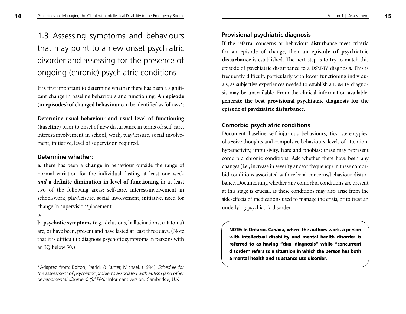# **1.3** Assessing symptoms and behaviours that may point to a new onset psychiatric disorder and assessing for the presence of ongoing (chronic) psychiatric conditions

It is first important to determine whether there has been a significant change in baseline behaviours and functioning. **An episode (or episodes) of changed behaviour** can be identified as follows\*:

### **Determine usual behaviour and usual level of functioning**

**(baseline)** prior to onset of new disturbance in terms of: self-care, interest/involvement in school, work, play/leisure, social involvement, initiative, level of supervision required.

### **Determine whether:**

**a.** there has been a **change** in behaviour outside the range of normal variation for the individual, lasting at least one week *and* **a definite diminution in level of functioning** in at least two of the following areas: self-care, interest/involvement in school/work, play/leisure, social involvement, initiative, need for change in supervision/placement

#### *or*

**b. psychotic symptoms** (e.g., delusions, hallucinations, catatonia) are, or have been, present and have lasted at least three days. (Note that it is difficult to diagnose psychotic symptoms in persons with an IQ below 50.)

## **Provisional psychiatric diagnosis**

If the referral concerns or behaviour disturbance meet criteria for an episode of change, then **an episode of psychiatric disturbance** is established. The next step is to try to match this episode of psychiatric disturbance to a DSM-IV diagnosis. This is frequently difficult, particularly with lower functioning individuals, as subjective experiences needed to establish a DSM-IV diagnosis may be unavailable. From the clinical information available, **generate the best provisional psychiatric diagnosis for the episode of psychiatric disturbance.**

## **Comorbid psychiatric conditions**

Document baseline self-injurious behaviours, tics, stereotypies, obsessive thoughts and compulsive behaviours, levels of attention, hyperactivity, impulsivity, fears and phobias: these may represent comorbid chronic conditions. Ask whether there have been any changes (i.e., increase in severity and/or frequency) in these comorbid conditions associated with referral concerns/behaviour disturbance. Documenting whether any comorbid conditions are present at this stage is crucial, as these conditions may also arise from the side-effects of medications used to manage the crisis, or to treat an underlying psychiatric disorder.

**NOTE: In Ontario, Canada, where the authors work, a person with intellectual disability and mental health disorder is referred to as having "dual diagnosis" while "concurrent disorder" refers to a situation in which the person has both a mental health and substance use disorder.**

<sup>\*</sup>Adapted from: Bolton, Patrick & Rutter, Michael. (1994). *Schedule for the assessment of psychiatric problems associated with autism (and other developmental disorders) (SAPPA):* Informant version. Cambridge, U.K.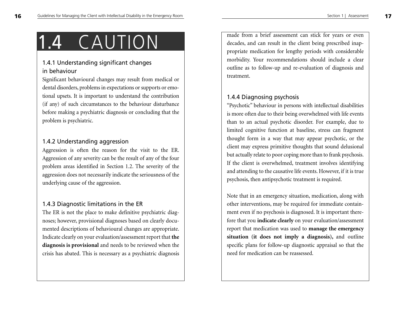# 1.4 CAUTION

# 1.4.1 Understanding significant changes in behaviour

Significant behavioural changes may result from medical or dental disorders, problems in expectations or supports or emotional upsets. It is important to understand the contribution (if any) of such circumstances to the behaviour disturbance before making a psychiatric diagnosis or concluding that the problem is psychiatric.

# 1.4.2 Understanding aggression

Aggression is often the reason for the visit to the ER. Aggression of any severity can be the result of any of the four problem areas identified in Section 1.2. The severity of the aggression does not necessarily indicate the seriousness of the underlying cause of the aggression.

# 1.4.3 Diagnostic limitations in the ER

The ER is not the place to make definitive psychiatric diagnoses; however, provisional diagnoses based on clearly documented descriptions of behavioural changes are appropriate. Indicate clearly on your evaluation/assessment report that **the diagnosis is provisional** and needs to be reviewed when the crisis has abated. This is necessary as a psychiatric diagnosis

made from a brief assessment can stick for years or even decades, and can result in the client being prescribed inappropriate medication for lengthy periods with considerable morbidity. Your recommendations should include a clear outline as to follow-up and re-evaluation of diagnosis and treatment.

# 1.4.4 Diagnosing psychosis

"Psychotic" behaviour in persons with intellectual disabilities is more often due to their being overwhelmed with life events than to an actual psychotic disorder. For example, due to limited cognitive function at baseline, stress can fragment thought form in a way that may appear psychotic, or the client may express primitive thoughts that sound delusional but actually relate to poor coping more than to frank psychosis. If the client is overwhelmed, treatment involves identifying and attending to the causative life events. However, if it is true psychosis, then antipsychotic treatment is required.

Note that in an emergency situation, medication, along with other interventions, may be required for immediate containment even if no psychosis is diagnosed. It is important therefore that you **indicate clearly** on your evaluation/assessment report that medication was used to **manage the emergency situation (it does not imply a diagnosis),** and outline specific plans for follow-up diagnostic appraisal so that the need for medication can be reassessed.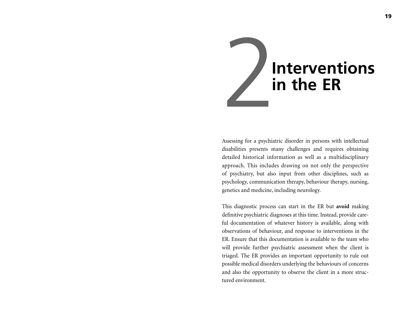

Assessing for a psychiatric disorder in persons with intellectual disabilities presents many challenges and requires obtaining detailed historical information as well as a multidisciplinary approach. This includes drawing on not only the perspective of psychiatry, but also input from other disciplines, such as psychology, communication therapy, behaviour therapy, nursing, genetics and medicine, including neurology.

This diagnostic process can start in the ER but **avoid** making definitive psychiatric diagnoses at this time. Instead, provide careful documentation of whatever history is available, along with observations of behaviour, and response to interventions in the ER. Ensure that this documentation is available to the team whowill provide further psychiatric assessment when the client is triaged. The ER provides an important opportunity to rule out possible medical disorders underlying the behaviours of concerns and also the opportunity to observe the client in a more structured environment.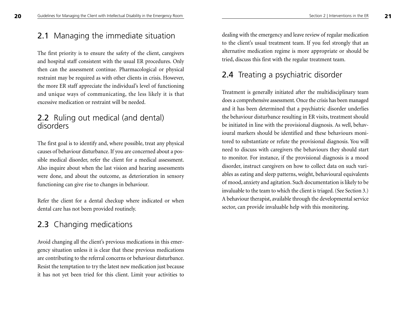**20**

# 2.1 Managing the immediate situation

The first priority is to ensure the safety of the client, caregivers and hospital staff consistent with the usual ER procedures. Only then can the assessment continue. Pharmacological or physical restraint may be required as with other clients in crisis. However, the more ER staff appreciate the individual's level of functioning and unique ways of communicating, the less likely it is that excessive medication or restraint will be needed.

# 2.2 Ruling out medical (and dental) disorders

The first goal is to identify and, where possible, treat any physical causes of behaviour disturbance. If you are concerned about a possible medical disorder, refer the client for a medical assessment. Also inquire about when the last vision and hearing assessments were done, and about the outcome, as deterioration in sensory functioning can give rise to changes in behaviour.

Refer the client for a dental checkup where indicated or when dental care has not been provided routinely.

# 2.3 Changing medications

Avoid changing all the client's previous medications in this emergency situation unless it is clear that these previous medications are contributing to the referral concerns or behaviour disturbance. Resist the temptation to try the latest new medication just because it has not yet been tried for this client. Limit your activities to

dealing with the emergency and leave review of regular medication to the client's usual treatment team. If you feel strongly that an alternative medication regime is more appropriate or should be tried, discuss this first with the regular treatment team.

# 2.4 Treating a psychiatric disorder

Treatment is generally initiated after the multidisciplinary team does a comprehensive assessment. Once the crisis has been managed and it has been determined that a psychiatric disorder underlies the behaviour disturbance resulting in ER visits, treatment should be initiated in line with the provisional diagnosis. As well, behavioural markers should be identified and these behaviours monitored to substantiate or refute the provisional diagnosis. You will need to discuss with caregivers the behaviours they should start to monitor. For instance, if the provisional diagnosis is a mood disorder, instruct caregivers on how to collect data on such variables as eating and sleep patterns, weight, behavioural equivalents of mood, anxiety and agitation. Such documentation is likely to be invaluable to the team to which the client is triaged. (See Section 3.) A behaviour therapist, available through the developmental service sector, can provide invaluable help with this monitoring.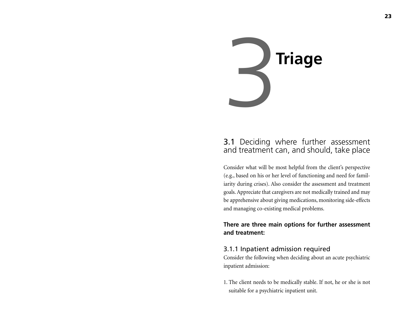

# 3.1 Deciding where further assessment and treatment can, and should, take place

Consider what will be most helpful from the client's perspective (e.g., based on his or her level of functioning and need for familiarity during crises). Also consider the assessment and treatment goals. Appreciate that caregivers are not medically trained and may be apprehensive about giving medications, monitoring side-effects and managing co-existing medical problems.

# **There are three main options for further assessment and treatment:**

# 3.1.1 Inpatient admission required

Consider the following when deciding about an acute psychiatric inpatient admission:

1. The client needs to be medically stable. If not, he or she is not suitable for a psychiatric inpatient unit.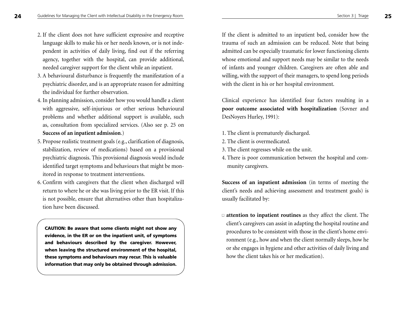- 2. If the client does not have sufficient expressive and receptive language skills to make his or her needs known, or is not independent in activities of daily living, find out if the referring agency, together with the hospital, can provide additional, needed caregiver support for the client while an inpatient.
- 3. A behavioural disturbance is frequently the manifestation of <sup>a</sup> psychiatric disorder, and is an appropriate reason for admitting the individual for further observation.
- 4. In planning admission, consider how you would handle a client with aggressive, self-injurious or other serious behavioural problems and whether additional support is available, such as, consultation from specialized services. (Also see p. 25 on **Success of an inpatient admission**.)
- 5. Propose realistic treatment goals (e.g., clarification of diagnosis, stabilization, review of medications) based on a provisional psychiatric diagnosis. This provisional diagnosis would include identified target symptoms and behaviours that might be monitored in response to treatment interventions.
- 6. Confirm with caregivers that the client when discharged will return to where he or she was living prior to the ER visit. If this is not possible, ensure that alternatives other than hospitalization have been discussed.

**CAUTION: Be aware that some clients might not show any evidence, in the ER or on the inpatient unit, of symptoms and behaviours described by the caregiver. However, when leaving the structured environment of the hospital, these symptoms and behaviours may recur. This is valuable information that may only be obtained through admission.**

If the client is admitted to an inpatient bed, consider how the trauma of such an admission can be reduced. Note that being admitted can be especially traumatic for lower functioning clients whose emotional and support needs may be similar to the needs of infants and younger children. Caregivers are often able and willing, with the support of their managers, to spend long periods with the client in his or her hospital environment.

Clinical experience has identified four factors resulting in a **poor outcome associated with hospitalization** (Sovner and DesNoyers Hurley, 1991):

- 1. The client is prematurely discharged.
- 2. The client is overmedicated.
- 3. The client regresses while on the unit.
- 4. There is poor communication between the hospital and community caregivers.

**Success of an inpatient admission** (in terms of meeting the client's needs and achieving assessment and treatment goals) is usually facilitated by:

■ **attention to inpatient routines** as they affect the client. The client's caregivers can assist in adapting the hospital routine and procedures to be consistent with those in the client's home environment (e.g., how and when the client normally sleeps, how he or she engages in hygiene and other activities of daily living and how the client takes his or her medication).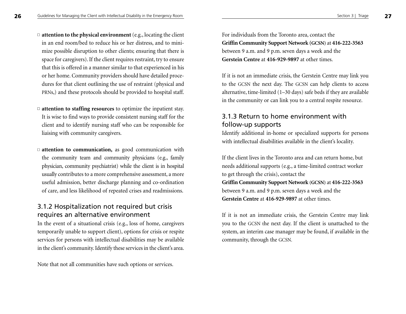- □ **attention to the physical environment** (e.g., locating the client in an end room/bed to reduce his or her distress, and to minimize possible disruption to other clients; ensuring that there is space for caregivers). If the client requires restraint, try to ensure that this is offered in a manner similar to that experienced in his or her home. Community providers should have detailed procedures for that client outlining the use of restraint (physical and PRNs,) and these protocols should be provided to hospital staff.
- □ **attention to staffing resources** to optimize the inpatient stay. It is wise to find ways to provide consistent nursing staff for the client and to identify nursing staff who can be responsible for liaising with community caregivers.
- □ **attention to communication**, as good communication with the community team and community physicians (e.g., family physician, community psychiatrist) while the client is in hospital usually contributes to a more comprehensive assessment, a more useful admission, better discharge planning and co-ordination of care, and less likelihood of repeated crises and readmissions.

# 3.1.2 Hospitalization not required but crisis requires an alternative environment

In the event of a situational crisis (e.g., loss of home, caregivers temporarily unable to support client), options for crisis or respite services for persons with intellectual disabilities may be available in the client's community. Identify these services in the client's area.

Note that not all communities have such options or services.

For individuals from the Toronto area, contact the **Griffin Community Support Network (GCSN)** at **416-222-3563**  between 9 a.m. and 9 p.m. seven days a week and the **Gerstein Centre** at **416-929-9897** at other times.

If it is not an immediate crisis, the Gerstein Centre may link you to the GCSN the next day. The GCSN can help clients to access alternative, time-limited (1–30 days) safe beds if they are available in the community or can link you to a central respite resource.

# 3.1.3 Return to home environment with follow-up supports

Identify additional in-home or specialized supports for persons with intellectual disabilities available in the client's locality.

If the client lives in the Toronto area and can return home, but needs additional supports (e.g., a time-limited contract worker to get through the crisis), contact the **Griffin Community Support Network (GCSN)** at **416-222-3563**  between 9 a.m. and 9 p.m. seven days a week and the **Gerstein Centre** at **416-929-9897** at other times.

If it is not an immediate crisis, the Gerstein Centre may link you to the GCSN the next day. If the client is unattached to the system, an interim case manager may be found, if available in the community, through the GCSN.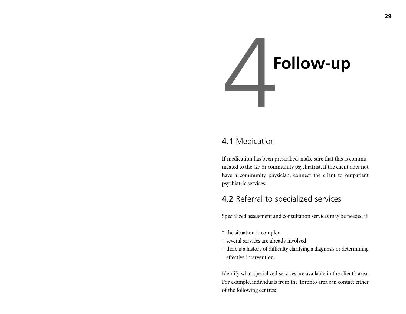

# 4.1 Medication

If medication has been prescribed, make sure that this is communicated to the GP or community psychiatrist. If the client does not have a community physician, connect the client to outpatient psychiatric services.

# 4.2 Referral to specialized services

Specialized assessment and consultation services may be needed if:

- $\Box$  the situation is complex
- $\square$  several services are already involved
- $\Box$  there is a history of difficulty clarifying a diagnosis or determining effective intervention.

Identify what specialized services are available in the client's area. For example, individuals from the Toronto area can contact either of the following centres: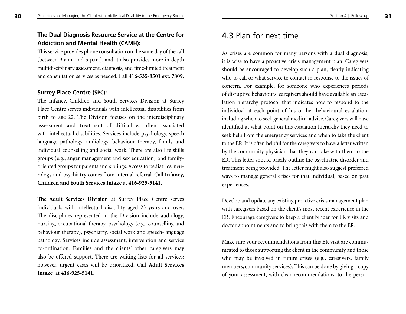# **The Dual Diagnosis Resource Service at the Centre for Addiction and Mental Health (CAMH):**

This service provides phone consultation on the same day of the call (between 9 a.m. and 5 p.m.), and it also provides more in-depth multidisciplinary assessment, diagnosis, and time-limited treatment and consultation services as needed. Call **416-535-8501 ext. 7809**.

## **Surrey Place Centre (SPC):**

**30**

The Infancy, Children and Youth Services Division at Surrey Place Centre serves individuals with intellectual disabilities frombirth to age 22. The Division focuses on the interdisciplinary assessment and treatment of difficulties often associated with intellectual disabilities. Services include psychology, speech language pathology, audiology, behaviour therapy, family and individual counselling and social work. There are also life skills groups (e.g., anger management and sex education) and familyoriented groups for parents and siblings. Access to pediatrics, neurology and psychiatry comes from internal referral. Call **Infancy, Children and Youth Services Intake** at **416-925-5141**.

**The Adult Services Division** at Surrey Place Centre serves individuals with intellectual disability aged 23 years and over. The disciplines represented in the Division include audiology, nursing, occupational therapy, psychology (e.g., counselling and behaviour therapy), psychiatry, social work and speech-language pathology. Services include assessment, intervention and service co-ordination. Families and the clients' other caregivers may also be offered support. There are waiting lists for all services; however, urgent cases will be prioritized. Call **Adult Services Intake** at **416-925-5141**.

# 4.3 Plan for next time

As crises are common for many persons with a dual diagnosis, it is wise to have a proactive crisis management plan. Caregivers should be encouraged to develop such a plan, clearly indicating who to call or what service to contact in response to the issues of concern. For example, for someone who experiences periods of disruptive behaviours, caregivers should have available an escalation hierarchy protocol that indicates how to respond to the individual at each point of his or her behavioural escalation, including when to seek general medical advice. Caregivers will have identified at what point on this escalation hierarchy they need to seek help from the emergency services and when to take the client to the ER. It is often helpful for the caregivers to have a letter written by the community physician that they can take with them to the ER. This letter should briefly outline the psychiatric disorder and treatment being provided. The letter might also suggest preferred ways to manage general crises for that individual, based on past experiences.

Develop and update any existing proactive crisis management plan with caregivers based on the client's most recent experience in the ER. Encourage caregivers to keep a client binder for ER visits and doctor appointments and to bring this with them to the ER.

Make sure your recommendations from this ER visit are communicated to those supporting the client in the community and those who may be involved in future crises (e.g., caregivers, family members, community services). This can be done by giving a copy of your assessment, with clear recommendations, to the person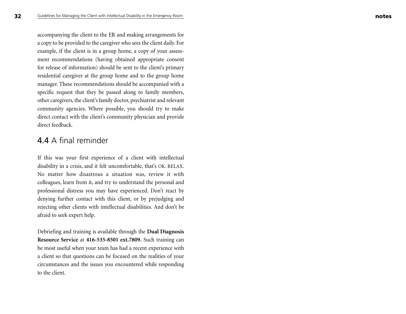accompanying the client to the ER and making arrangements for a copy to be provided to the caregiver who sees the client daily. For example, if the client is in a group home, a copy of your assessment recommendations (having obtained appropriate consent for release of information) should be sent to the client's primary residential caregiver at the group home and to the group home manager. These recommendations should be accompanied with a specific request that they be passed along to family members, other caregivers, the client's family doctor, psychiatrist and relevant community agencies. Where possible, you should try to make direct contact with the client's community physician and provide direct feedback.

# 4.4 A final reminder

If this was your first experience of a client with intellectual disability in a crisis, and it felt uncomfortable, that's OK. RELAX. No matter how disastrous a situation was, review it with colleagues, learn from it, and try to understand the personal and professional distress you may have experienced. Don't react by denying further contact with this client, or by prejudging and rejecting other clients with intellectual disabilities. And don't be afraid to seek expert help.

Debriefing and training is available through the **Dual Diagnosis Resource Service** at **416-535-8501 ext.7809.** Such training can be most useful when your team has had a recent experience with a client so that questions can be focused on the realities of your circumstances and the issues you encountered while responding to the client.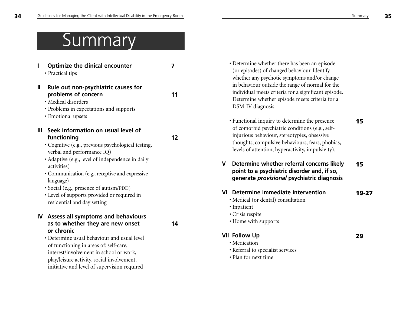**29**

# **Summary**

| ı | <b>Optimize the clinical encounter</b><br>• Practical tips                                                                                                                                                                                                                                                                                                                                        | 7  |
|---|---------------------------------------------------------------------------------------------------------------------------------------------------------------------------------------------------------------------------------------------------------------------------------------------------------------------------------------------------------------------------------------------------|----|
| Ш | Rule out non-psychiatric causes for<br>problems of concern<br>· Medical disorders<br>• Problems in expectations and supports<br>• Emotional upsets                                                                                                                                                                                                                                                | 11 |
| Ш | Seek information on usual level of<br>functioning<br>· Cognitive (e.g., previous psychological testing,<br>verbal and performance IQ)<br>• Adaptive (e.g., level of independence in daily<br>activities)<br>• Communication (e.g., receptive and expressive<br>language)<br>· Social (e.g., presence of autism/PDD)<br>• Level of supports provided or required in<br>residential and day setting | 12 |
|   | IV Assess all symptoms and behaviours<br>as to whether they are new onset<br>or chronic<br>• Determine usual behaviour and usual level<br>of functioning in areas of: self-care,<br>interest/involvement in school or work,<br>play/leisure activity, social involvement,                                                                                                                         | 14 |

initiative and level of supervision required

• Determine whether there has been an episode (or episodes) of changed behaviour. Identify whether any psychotic symptoms and/or change in behaviour outside the range of normal for the individual meets criteria for a significant episode. Determine whether episode meets criteria for a DSM-IV diagnosis.

- **15**• Functional inquiry to determine the presence of comorbid psychiatric conditions (e.g., selfinjurious behaviour, stereotypies, obsessive thoughts, compulsive behaviours, fears, phobias, levels of attention, hyperactivity, impulsivity).
- **15V Determine whether referral concerns likely point to a psychiatric disorder and, if so, generate** *provisional* **psychiatric diagnosis**
- **19-27VI Determine immediate intervention** 
	- Medical (or dental) consultation
	- Inpatient
	- Crisis respite
	- Home with supports

# **VII Follow Up**

- Medication
- Referral to specialist services
- Plan for next time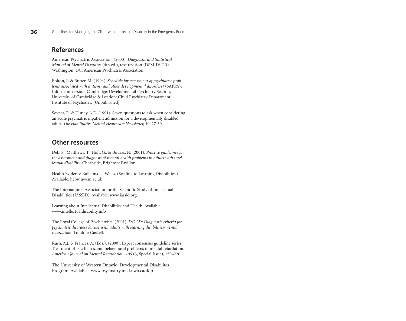# **References**

American Psychiatric Association. (2000). *Diagnostic and Statistical Manual of Mental Disorders* (4th ed.), text revision (DSM-IV-TR). Washington, DC: American Psychiatric Association.

Bolton, P. & Rutter, M. (1994). *Schedule for assessment of psychiatric problems associated with autism (and other developmental disorders)* (SAPPA): Informant version. Cambridge: Developmental Psychiatry Section, University of Cambridge & London: Child Psychiatry Department, Institute of Psychiatry. [Unpublished]

Sovner, R. & Hurley, A.D. (1991). Seven questions to ask when considering an acute psychiatric inpatient admission for a developmentally disabled adult. *The Habilitative Mental Healthcare Newsletter,* 10, 27-30.

# **Other resources**

Deb, S., Matthews, T., Holt, G., & Bouras, N. (2001). *Practice guidelines for the assessment and diagnosis of mental health problems in adults with intellectual disability.* Cheapside, Brighton: Pavilion.

Health Evidence Bulletins — Wales. (See link to Learning Disabilities.) Available: hebw.uwcm.ac.uk

The International Association for the Scientific Study of Intellectual Disabilities (IASSID). Available: www.iassid.org

Learning about Intellectual Disabilities and Health. Available: www.intellectualdisability.info

The Royal College of Psychiatrists. (2001). *DC-LD: Diagnostic criteria for psychiatric disorders for use with adults with learning disabilities/mental retardation.* London: Gaskell.

Rush, A.J. & Frances, A. (Eds.). (2000). Expert consensus guideline series: Treatment of psychiatric and behavioural problems in mental retardation. *American Journal on Mental Retardation, 105* (3, Special Issue), 159–226.

The University of Western Ontario. Developmental Disabilites Program. Available: www.psychiatry.med.uwo.ca/ddp